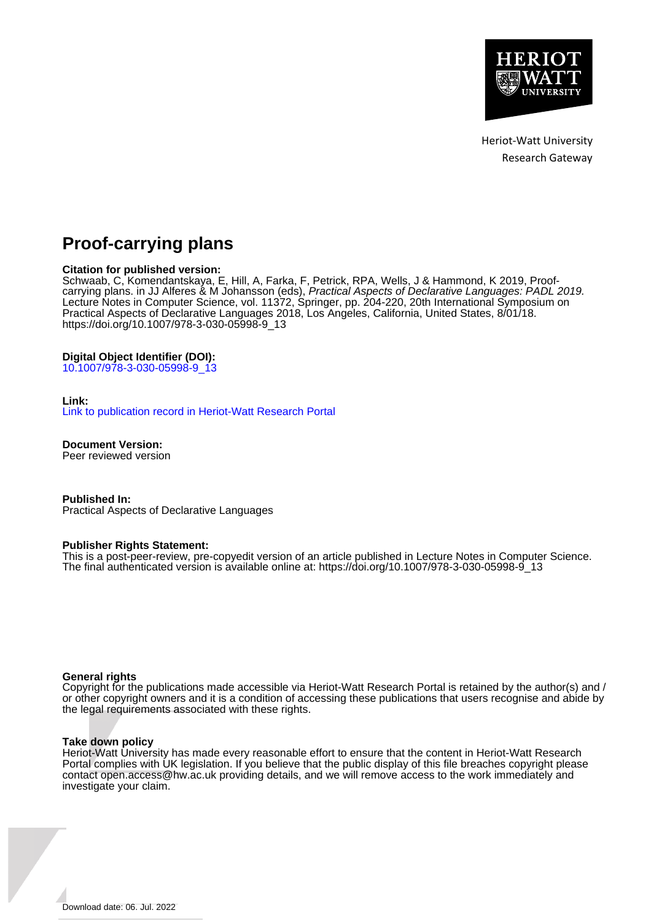

Heriot-Watt University Research Gateway

# **Proof-carrying plans**

## **Citation for published version:**

Schwaab, C, Komendantskaya, E, Hill, A, Farka, F, Petrick, RPA, Wells, J & Hammond, K 2019, Proofcarrying plans. in JJ Alferes & M Johansson (eds), Practical Aspects of Declarative Languages: PADL 2019. Lecture Notes in Computer Science, vol. 11372, Springer, pp. 204-220, 20th International Symposium on Practical Aspects of Declarative Languages 2018, Los Angeles, California, United States, 8/01/18. [https://doi.org/10.1007/978-3-030-05998-9\\_13](https://doi.org/10.1007/978-3-030-05998-9_13)

## **Digital Object Identifier (DOI):**

[10.1007/978-3-030-05998-9\\_13](https://doi.org/10.1007/978-3-030-05998-9_13)

## **Link:**

[Link to publication record in Heriot-Watt Research Portal](https://researchportal.hw.ac.uk/en/publications/acc8d31f-8099-4191-b1c8-5186003fe808)

**Document Version:** Peer reviewed version

**Published In:** Practical Aspects of Declarative Languages

## **Publisher Rights Statement:**

This is a post-peer-review, pre-copyedit version of an article published in Lecture Notes in Computer Science. The final authenticated version is available online at: https://doi.org/10.1007/978-3-030-05998-9\_13

## **General rights**

Copyright for the publications made accessible via Heriot-Watt Research Portal is retained by the author(s) and / or other copyright owners and it is a condition of accessing these publications that users recognise and abide by the legal requirements associated with these rights.

## **Take down policy**

Heriot-Watt University has made every reasonable effort to ensure that the content in Heriot-Watt Research Portal complies with UK legislation. If you believe that the public display of this file breaches copyright please contact open.access@hw.ac.uk providing details, and we will remove access to the work immediately and investigate your claim.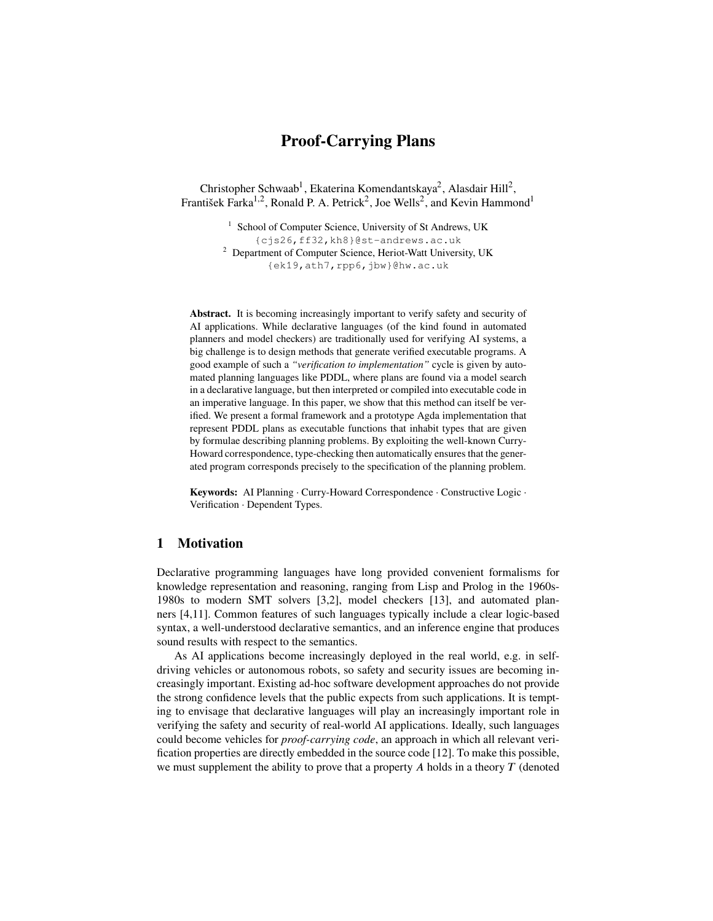# **Proof-Carrying Plans**

Christopher Schwaab<sup>1</sup>, Ekaterina Komendantskaya<sup>2</sup>, Alasdair Hill<sup>2</sup>, František Farka<sup>1,2</sup>, Ronald P. A. Petrick<sup>2</sup>, Joe Wells<sup>2</sup>, and Kevin Hammond<sup>1</sup>

> <sup>1</sup> School of Computer Science, University of St Andrews, UK {cjs26,ff32,kh8}@st-andrews.ac.uk <sup>2</sup> Department of Computer Science, Heriot-Watt University, UK {ek19,ath7,rpp6,jbw}@hw.ac.uk

**Abstract.** It is becoming increasingly important to verify safety and security of AI applications. While declarative languages (of the kind found in automated planners and model checkers) are traditionally used for verifying AI systems, a big challenge is to design methods that generate verified executable programs. A good example of such a *"verification to implementation"* cycle is given by automated planning languages like PDDL, where plans are found via a model search in a declarative language, but then interpreted or compiled into executable code in an imperative language. In this paper, we show that this method can itself be verified. We present a formal framework and a prototype Agda implementation that represent PDDL plans as executable functions that inhabit types that are given by formulae describing planning problems. By exploiting the well-known Curry-Howard correspondence, type-checking then automatically ensures that the generated program corresponds precisely to the specification of the planning problem.

**Keywords:** AI Planning · Curry-Howard Correspondence · Constructive Logic · Verification · Dependent Types.

## **1 Motivation**

Declarative programming languages have long provided convenient formalisms for knowledge representation and reasoning, ranging from Lisp and Prolog in the 1960s-1980s to modern SMT solvers [3,2], model checkers [13], and automated planners [4,11]. Common features of such languages typically include a clear logic-based syntax, a well-understood declarative semantics, and an inference engine that produces sound results with respect to the semantics.

As AI applications become increasingly deployed in the real world, e.g. in selfdriving vehicles or autonomous robots, so safety and security issues are becoming increasingly important. Existing ad-hoc software development approaches do not provide the strong confidence levels that the public expects from such applications. It is tempting to envisage that declarative languages will play an increasingly important role in verifying the safety and security of real-world AI applications. Ideally, such languages could become vehicles for *proof-carrying code*, an approach in which all relevant verification properties are directly embedded in the source code [12]. To make this possible, we must supplement the ability to prove that a property  $A$  holds in a theory  $T$  (denoted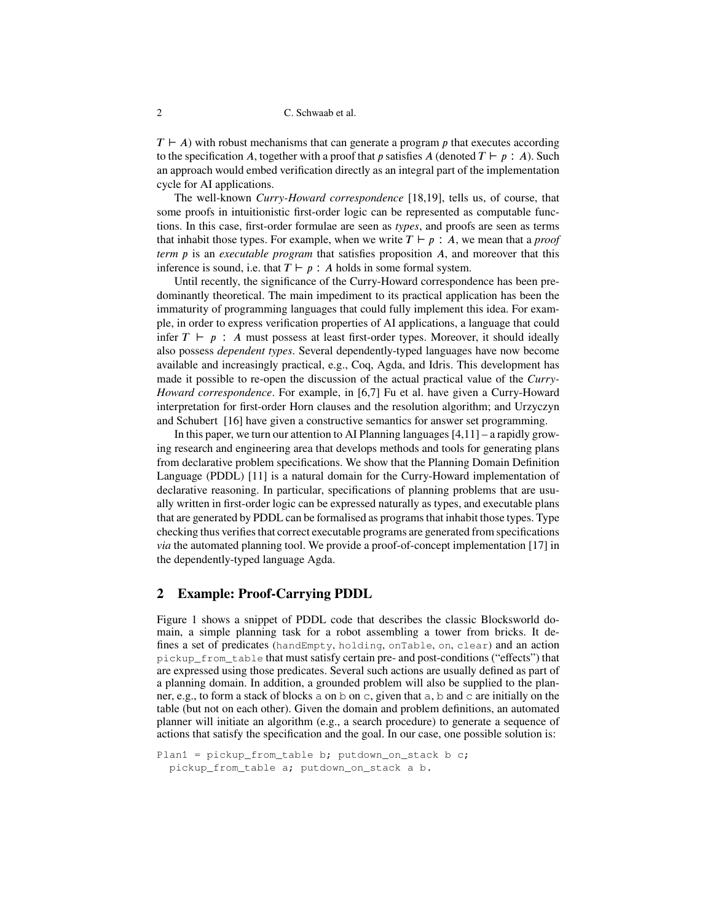$T \vdash A$ ) with robust mechanisms that can generate a program p that executes according to the specification A, together with a proof that p satisfies A (denoted  $T \vdash p : A$ ). Such an approach would embed verification directly as an integral part of the implementation cycle for AI applications.

The well-known *Curry-Howard correspondence* [18,19], tells us, of course, that some proofs in intuitionistic first-order logic can be represented as computable functions. In this case, first-order formulae are seen as *types*, and proofs are seen as terms that inhabit those types. For example, when we write  $T \vdash p : A$ , we mean that a *proof term p* is an *executable program* that satisfies proposition A, and moreover that this inference is sound, i.e. that  $T \vdash p : A$  holds in some formal system.

Until recently, the significance of the Curry-Howard correspondence has been predominantly theoretical. The main impediment to its practical application has been the immaturity of programming languages that could fully implement this idea. For example, in order to express verification properties of AI applications, a language that could infer  $T \vdash p$ : A must possess at least first-order types. Moreover, it should ideally also possess *dependent types*. Several dependently-typed languages have now become available and increasingly practical, e.g., Coq, Agda, and Idris. This development has made it possible to re-open the discussion of the actual practical value of the *Curry-Howard correspondence*. For example, in [6,7] Fu et al. have given a Curry-Howard interpretation for first-order Horn clauses and the resolution algorithm; and Urzyczyn and Schubert [16] have given a constructive semantics for answer set programming.

In this paper, we turn our attention to AI Planning languages  $[4,11]$  – a rapidly growing research and engineering area that develops methods and tools for generating plans from declarative problem specifications. We show that the Planning Domain Definition Language (PDDL) [11] is a natural domain for the Curry-Howard implementation of declarative reasoning. In particular, specifications of planning problems that are usually written in first-order logic can be expressed naturally as types, and executable plans that are generated by PDDL can be formalised as programs that inhabit those types. Type checking thus verifies that correct executable programs are generated from specifications *via* the automated planning tool. We provide a proof-of-concept implementation [17] in the dependently-typed language Agda.

## **2 Example: Proof-Carrying PDDL**

Figure 1 shows a snippet of PDDL code that describes the classic Blocksworld domain, a simple planning task for a robot assembling a tower from bricks. It defines a set of predicates (handEmpty, holding, onTable, on, clear) and an action pickup\_from\_table that must satisfy certain pre- and post-conditions ("effects") that are expressed using those predicates. Several such actions are usually defined as part of a planning domain. In addition, a grounded problem will also be supplied to the planner, e.g., to form a stack of blocks a on b on c, given that a, b and c are initially on the table (but not on each other). Given the domain and problem definitions, an automated planner will initiate an algorithm (e.g., a search procedure) to generate a sequence of actions that satisfy the specification and the goal. In our case, one possible solution is:

Plan1 = pickup\_from\_table b; putdown\_on\_stack b  $c$ ; pickup\_from\_table a; putdown\_on\_stack a b.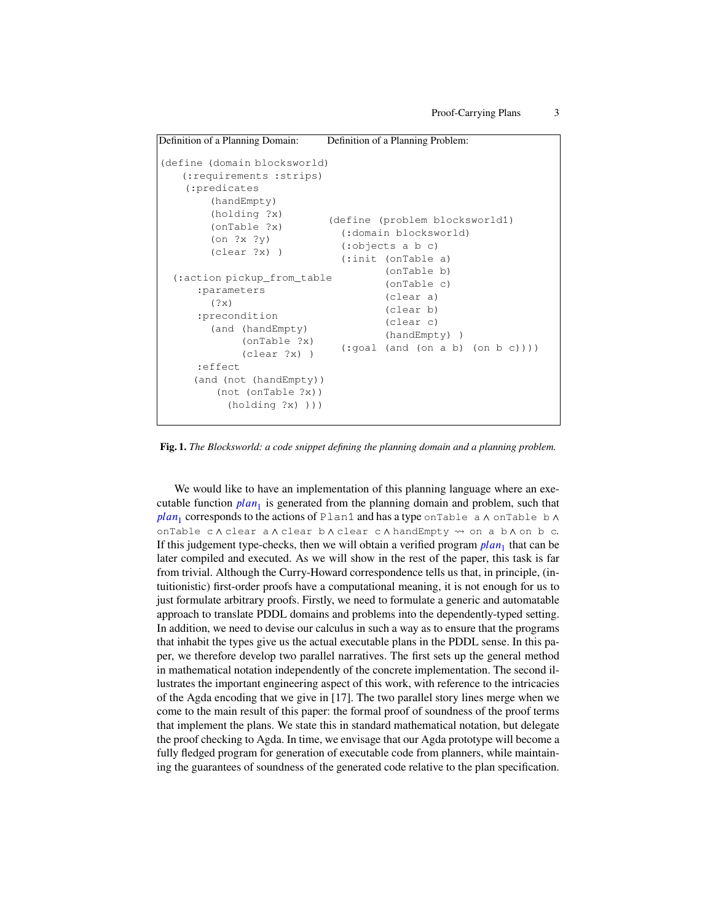```
Definition of a Planning Domain: Definition of a Planning Problem:
(define (domain blocksworld)
    (:requirements :strips)
    (:predicates
         (handEmpty)
         (holding ?x)
         (onTable ?x)
         (on ?x ?y)
         (clear ?x) )
  (:action pickup_from_table
      :parameters
         (?x)
      :precondition
         (and (handEmpty)
              (onTable ?x)
              (clear ?x) )
      :effect
      (and (not (handEmpty))
          (not (onTable ?x))
            (holding ?x) )))
                             (define (problem blocksworld1)
                               (:domain blocksworld)
                               (:objects a b c)
                               (:init (onTable a)
                                       (onTable b)
                                       (onTable c)
                                       (clear a)
                                       (clear b)
                                       (clear c)
                                       (handEmpty) )
                                (\text{:goal (and (on a b) (on b c))))}
```
**Fig. 1.** *The Blocksworld: a code snippet defining the planning domain and a planning problem.*

We would like to have an implementation of this planning language where an executable function  $plan_1$  is generated from the planning domain and problem, such that  $plan_1$  corresponds to the actions of Plan1 and has a type onTable a <code>^</code> onTable <code>b^</code> onTable c ∧ clear a ∧ clear b ∧ clear c ∧ handEmpty ⇝ on a b ∧ on b c. If this judgement type-checks, then we will obtain a verified program  $plan_1$  that can be later compiled and executed. As we will show in the rest of the paper, this task is far from trivial. Although the Curry-Howard correspondence tells us that, in principle, (intuitionistic) first-order proofs have a computational meaning, it is not enough for us to just formulate arbitrary proofs. Firstly, we need to formulate a generic and automatable approach to translate PDDL domains and problems into the dependently-typed setting. In addition, we need to devise our calculus in such a way as to ensure that the programs that inhabit the types give us the actual executable plans in the PDDL sense. In this paper, we therefore develop two parallel narratives. The first sets up the general method in mathematical notation independently of the concrete implementation. The second illustrates the important engineering aspect of this work, with reference to the intricacies of the Agda encoding that we give in [17]. The two parallel story lines merge when we come to the main result of this paper: the formal proof of soundness of the proof terms that implement the plans. We state this in standard mathematical notation, but delegate the proof checking to Agda. In time, we envisage that our Agda prototype will become a fully fledged program for generation of executable code from planners, while maintaining the guarantees of soundness of the generated code relative to the plan specification.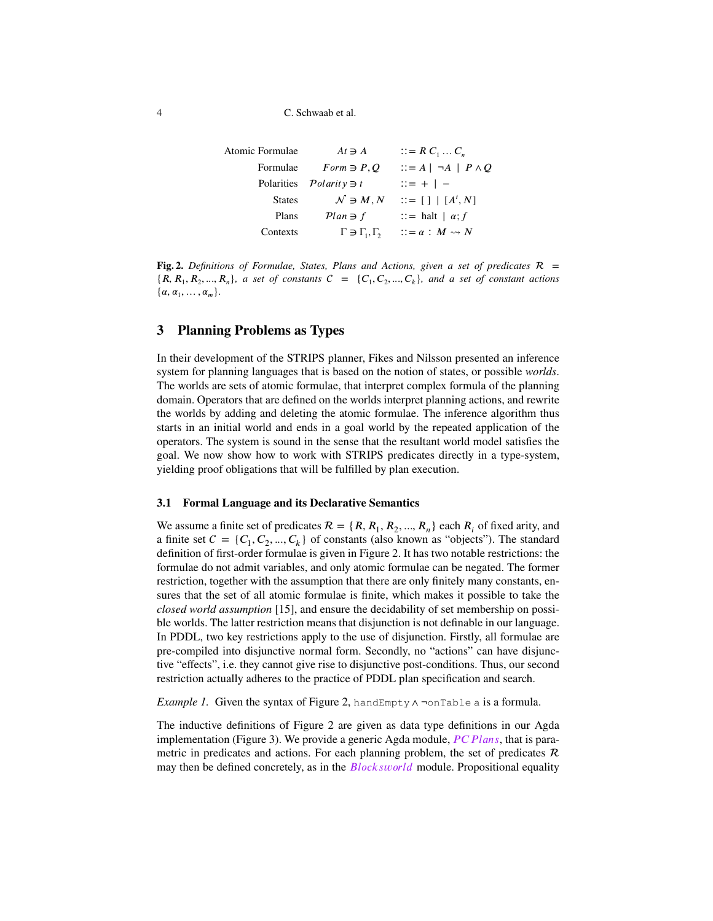```
4 C. Schwaab et al.
```

| Atomic Formulae | $At \ni A$                      | $\therefore$ = R $C_1 \dots C_n$             |
|-----------------|---------------------------------|----------------------------------------------|
| Formulae        | $Form \ni P, Q$                 | $\therefore = A \mid \neg A \mid P \land Q$  |
| Polarities      | $Polarity \ni t$                | $::= + + -$                                  |
| <b>States</b>   | $\mathcal{N} \ni M, N$          | $ ::= \lceil \rceil \rceil  A^t, N]$         |
| Plans           | $Plan \ni f$                    | $\therefore$ halt $\alpha$ ; f               |
| Contexts        | $\Gamma \ni \Gamma_1, \Gamma_2$ | $\therefore = \alpha : M \rightsquigarrow N$ |

**Fig. 2.** Definitions of Formulae, States, Plans and Actions, given a set of predicates  $\mathcal{R}$  =  ${R, R_1, R_2, ..., R_n}$ , a set of constants  $C = {C_1, C_2, ..., C_k}$ , and a set of constant actions  $\{\alpha, \alpha_1, \ldots, \alpha_m\}.$ 

## **3 Planning Problems as Types**

In their development of the STRIPS planner, Fikes and Nilsson presented an inference system for planning languages that is based on the notion of states, or possible *worlds*. The worlds are sets of atomic formulae, that interpret complex formula of the planning domain. Operators that are defined on the worlds interpret planning actions, and rewrite the worlds by adding and deleting the atomic formulae. The inference algorithm thus starts in an initial world and ends in a goal world by the repeated application of the operators. The system is sound in the sense that the resultant world model satisfies the goal. We now show how to work with STRIPS predicates directly in a type-system, yielding proof obligations that will be fulfilled by plan execution.

#### **3.1 Formal Language and its Declarative Semantics**

We assume a finite set of predicates  $R = \{R, R_1, R_2, ..., R_n\}$  each  $R_i$  of fixed arity, and a finite set  $C = \{C_1, C_2, ..., C_k\}$  of constants (also known as "objects"). The standard definition of first-order formulae is given in Figure 2. It has two notable restrictions: the formulae do not admit variables, and only atomic formulae can be negated. The former restriction, together with the assumption that there are only finitely many constants, ensures that the set of all atomic formulae is finite, which makes it possible to take the *closed world assumption* [15], and ensure the decidability of set membership on possible worlds. The latter restriction means that disjunction is not definable in our language. In PDDL, two key restrictions apply to the use of disjunction. Firstly, all formulae are pre-compiled into disjunctive normal form. Secondly, no "actions" can have disjunctive "effects", i.e. they cannot give rise to disjunctive post-conditions. Thus, our second restriction actually adheres to the practice of PDDL plan specification and search.

*Example 1.* Given the syntax of Figure 2, handEmpty ∧ ¬onTable a is a formula.

The inductive definitions of Figure 2 are given as data type definitions in our Agda implementation (Figure 3). We provide a generic Agda module,  $PCPlans$ , that is parametric in predicates and actions. For each planning problem, the set of predicates  $\mathcal R$ may then be defined concretely, as in the  $Blocksworld$  module. Propositional equality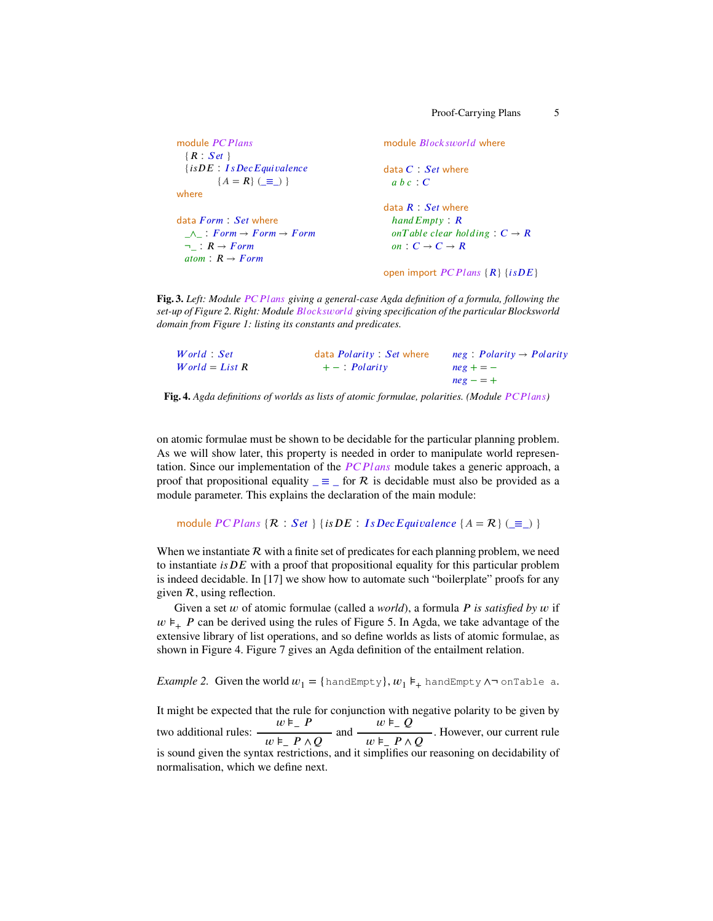```
module PCPlans
  { R : Set }{isDE : IsDecEquivalence}{A = R} \ (\equiv)where
data Form: Set where
 \wedge : Form \rightarrow Form \rightarrow Form
  \neg : R \rightarrow Formatom: R \rightarrow Formmodule Blocksworld where
                                                   data C : Set where
                                                     a b c : Cdata R : Set where
                                                     handEmpty: RonTable clear holding : C \rightarrow Ron : C \rightarrow C \rightarrow Ropen import PCPlans \{R\} \{is DE\}
```
**Fig. 3.** *Left: Module giving a general-case Agda definition of a formula, following the set-up of Figure 2. Right: Module giving specification of the particular Blocksworld domain from Figure 1: listing its constants and predicates.*

| World: Set       | data $\textit{Polarity}: Set where$                                                                 | $neg : Polarity \rightarrow Polarity$ |
|------------------|-----------------------------------------------------------------------------------------------------|---------------------------------------|
| $World = List R$ | $+-$ : Polarity                                                                                     | $neg + = -$                           |
|                  |                                                                                                     | $neq - = +$                           |
|                  | <b>Fig. 4.</b> Agda definitions of worlds as lists of atomic formulae, polarities. (Module PCPlans) |                                       |

on atomic formulae must be shown to be decidable for the particular planning problem. As we will show later, this property is needed in order to manipulate world representation. Since our implementation of the  $PCPlans$  module takes a generic approach, a proof that propositional equality  $\equiv$  for R is decidable must also be provided as a module parameter. This explains the declaration of the main module:

```
module PCPlans \{ R : Set \} \{ is DE : IsDecEquivalence \{ A = R \} \}
```
When we instantiate  $R$  with a finite set of predicates for each planning problem, we need to instantiate  $i$ s  $DE$  with a proof that propositional equality for this particular problem is indeed decidable. In [17] we show how to automate such "boilerplate" proofs for any given  $R$ , using reflection.

Given a set  $w$  of atomic formulae (called a *world*), a formula  $P$  is satisfied by  $w$  if  $w \vDash$  P can be derived using the rules of Figure 5. In Agda, we take advantage of the extensive library of list operations, and so define worlds as lists of atomic formulae, as shown in Figure 4. Figure 7 gives an Agda definition of the entailment relation.

*Example 2*. Given the world  $w_1 = \{$  handEmpty  $\}$ ,  $w_1 \nvdash_+$  handEmpty  $\wedge \neg$  onTable a.

It might be expected that the rule for conjunction with negative polarity to be given by two additional rules:  $w \models_{-} P$  $w \vDash P$  and  $w \vDash Q$ <br>  $w \vDash P \wedge Q$  and  $w \vDash P \wedge Q$  $\frac{Q}{w}$  **⊨**  $\frac{P}{Q}$   $\wedge$  *Q*. However, our current rule is sound given the syntax restrictions, and it simplifies our reasoning on decidability of normalisation, which we define next.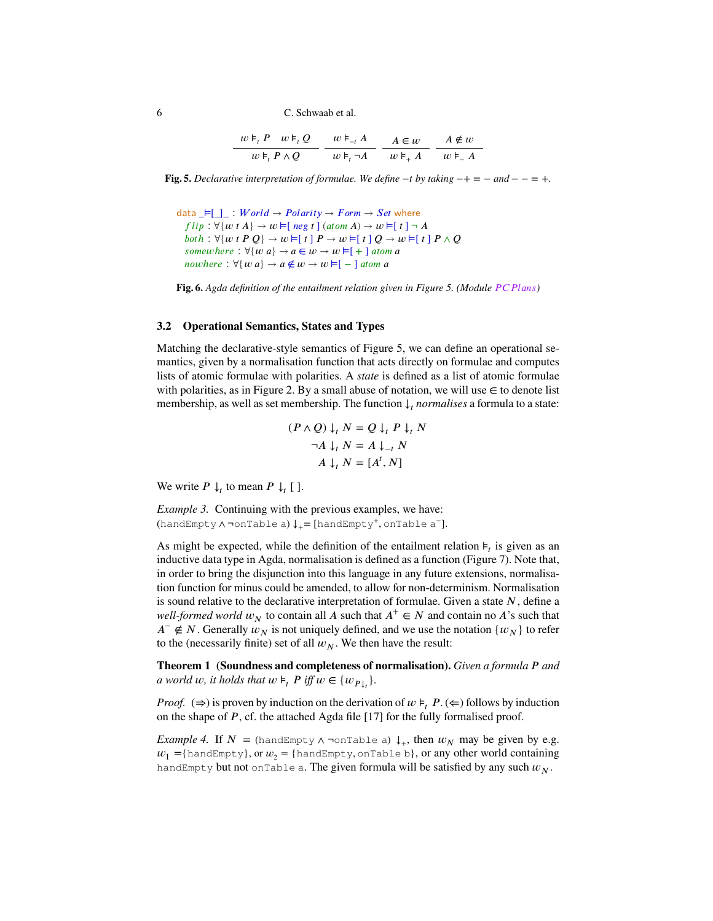$$
\frac{w \vDash_{t} P \quad w \vDash_{t} Q}{w \vDash_{t} P \land Q} \quad \frac{w \vDash_{-t} A}{w \vDash_{t} \neg A} \quad \frac{A \in w}{w \vDash_{+} A} \quad \frac{A \notin w}{w \vDash_{-} A}
$$

**Fig. 5.** *Declarative interpretation of formulae. We define* − *by taking* −+ = − *and* − − = +*.*

data  $\models [\_]$ : *World*  $\rightarrow$  *Polarity*  $\rightarrow$  *Form*  $\rightarrow$  *Set* where  $flip : \forall \{w \mid A\} \rightarrow w \models \text{[ neg } t \mid (atom \land A) \rightarrow w \models \text{[ } t \mid \neg A)$  $both: \forall \{w \mid P \ Q\} \rightarrow w \models [t] \ P \rightarrow w \models [t] \ Q \rightarrow w \models [t] \ P \land Q$ somewhere :  $\forall \{w \mid a\} \rightarrow a \in w \rightarrow w \models [ + ]$  atom a *nowhere* :  $\forall \{w \mid a\} \rightarrow a \notin w \rightarrow w \models [- \ ] \text{ atom } a$ 

Fig. 6. Agda definition of the entailment relation given in Figure 5. (Module PCPlans)

#### **3.2 Operational Semantics, States and Types**

Matching the declarative-style semantics of Figure 5, we can define an operational semantics, given by a normalisation function that acts directly on formulae and computes lists of atomic formulae with polarities. A *state* is defined as a list of atomic formulae with polarities, as in Figure 2. By a small abuse of notation, we will use  $\in$  to denote list membership, as well as set membership. The function  $\downarrow$  *normalises* a formula to a state:

$$
(P \land Q) \downarrow_t N = Q \downarrow_t P \downarrow_t N
$$

$$
\neg A \downarrow_t N = A \downarrow_{-t} N
$$

$$
A \downarrow_t N = [A^t, N]
$$

We write  $P \downarrow_t$  to mean  $P \downarrow_t [$ ].

*Example 3.* Continuing with the previous examples, we have: (handEmpty  $\land$  ¬onTable a)  $\downarrow_+ =$  [handEmpty<sup>+</sup>, onTable a<sup>-</sup>].

As might be expected, while the definition of the entailment relation  $\forall t$  is given as an inductive data type in Agda, normalisation is defined as a function (Figure 7). Note that, in order to bring the disjunction into this language in any future extensions, normalisation function for minus could be amended, to allow for non-determinism. Normalisation is sound relative to the declarative interpretation of formulae. Given a state  $N$ , define a *well-formed world*  $w_N$  to contain all A such that  $A^+ \in N$  and contain no A's such that  $A^- \notin N$ . Generally  $w_N$  is not uniquely defined, and we use the notation  $\{w_N\}$  to refer to the (necessarily finite) set of all  $w_N$ . We then have the result:

**Theorem 1 (Soundness and completeness of normalisation).** *Given a formula and a* world *w*, it holds that  $w \models_t P$  iff  $w \in \{w_{P\downarrow_t}\}.$ 

*Proof.* ( $\Rightarrow$ ) is proven by induction on the derivation of  $w \models_t P \cdot (\Leftarrow)$  follows by induction on the shape of  $P$ , cf. the attached Agda file [17] for the fully formalised proof.

*Example 4.* If  $N =$  (handEmpty  $\wedge$  ¬onTable a)  $\downarrow$ <sub>+</sub>, then  $w_N$  may be given by e.g.  $w_1 =$ {handEmpty}, or  $w_2 =$ {handEmpty, onTable b}, or any other world containing handEmpty but not onTable a. The given formula will be satisfied by any such  $w_N$ .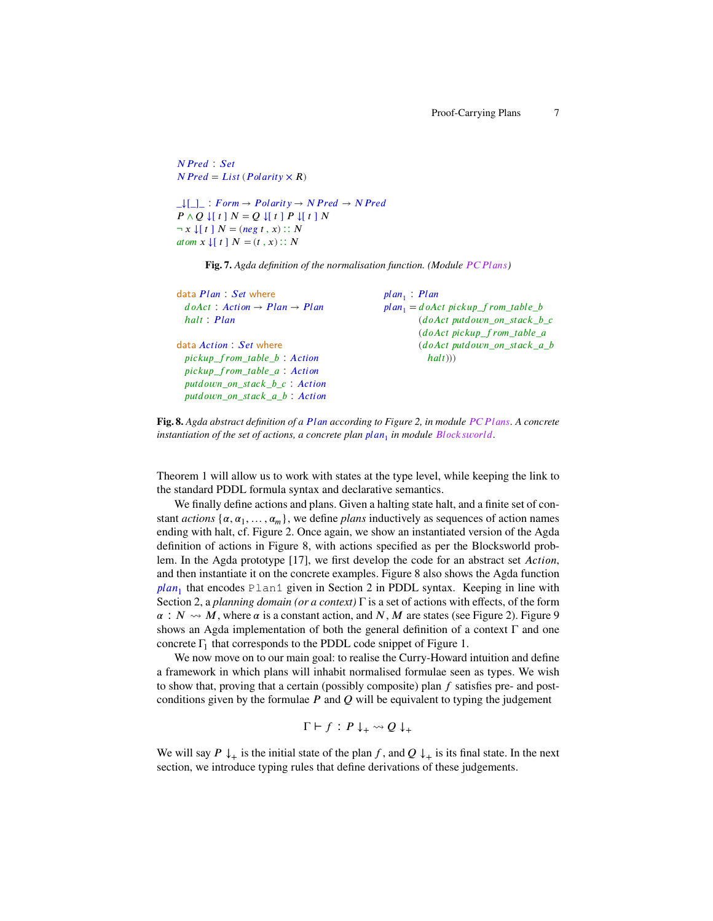NPred : Set  $NPred = List (Polarity \times R)$ 

 $\bot \bot \bot$ : Form  $\rightarrow$  Polarity  $\rightarrow$  N Pred  $\rightarrow$  N Pred  $P \wedge Q \downarrow [t] N = Q \downarrow [t] P \downarrow [t] N$  $\neg x \downarrow [t] N = (neg t, x) :: N$ atom  $x \downarrow [t]$   $N = (t, x) :: N$ 

**Fig. 7.** *Agda definition of the normalisation function. (Module )*

| data <i>Plan</i> : Set where                               |  |
|------------------------------------------------------------|--|
| $d\rho Act$ : Action $\rightarrow$ Plan $\rightarrow$ Plan |  |
| halt: Plan                                                 |  |
|                                                            |  |
| data Action: Set where                                     |  |
| pickup from table b: Action                                |  |
| pickup_from_table_a: Action                                |  |
| putdown on stack $b$ c : Action                            |  |
| putdown on stack a b: Action                               |  |

 $plan_1$ : Plan  $plan_1 = doAct~pickup\_from\_table_b$  $(doAct$  putdown\_on\_stack\_b\_c  $(doAct~ pickup\_from\_table\_a$ (doAct putdown\_on\_stack\_a\_b  $hal(t))$ 

**Fig. 8.** *Agda abstract definition of a according to Figure 2, in module . A concrete* instantiation of the set of actions, a concrete plan plan<sub>1</sub> in module Blocksworld.

Theorem 1 will allow us to work with states at the type level, while keeping the link to the standard PDDL formula syntax and declarative semantics.

We finally define actions and plans. Given a halting state halt, and a finite set of constant *actions*  $\{\alpha, \alpha_1, \dots, \alpha_m\}$ , we define *plans* inductively as sequences of action names ending with halt, cf. Figure 2. Once again, we show an instantiated version of the Agda definition of actions in Figure 8, with actions specified as per the Blocksworld problem. In the Agda prototype [17], we first develop the code for an abstract set Action, and then instantiate it on the concrete examples. Figure 8 also shows the Agda function  $plan_1$  that encodes Plan1 given in Section 2 in PDDL syntax. Keeping in line with Section 2, a *planning domain (or a context)* Γ is a set of actions with effects, of the form  $\alpha: N \rightarrow M$ , where  $\alpha$  is a constant action, and N, M are states (see Figure 2). Figure 9 shows an Agda implementation of both the general definition of a context  $\Gamma$  and one concrete  $\Gamma_1$  that corresponds to the PDDL code snippet of Figure 1.

We now move on to our main goal: to realise the Curry-Howard intuition and define a framework in which plans will inhabit normalised formulae seen as types. We wish to show that, proving that a certain (possibly composite) plan  $f$  satisfies pre- and postconditions given by the formulae  $P$  and  $Q$  will be equivalent to typing the judgement

$$
\Gamma \vdash f : P \downarrow_{+} \leadsto Q \downarrow_{+}
$$

We will say  $P \downarrow_{+}$  is the initial state of the plan f, and  $Q \downarrow_{+}$  is its final state. In the next section, we introduce typing rules that define derivations of these judgements.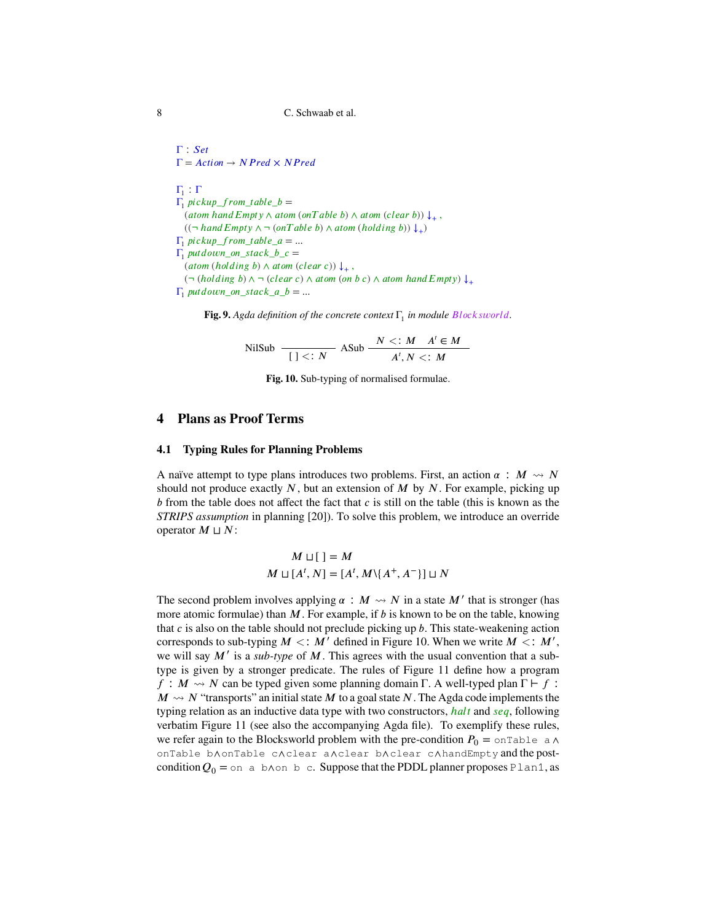$\Gamma$ : Set  $\Gamma = Action \rightarrow NPred \times NPred$  $\Gamma_1$ : Γ  $\Gamma_1$  pickup\_f rom\_table\_b = (atom hand Empty  $\wedge$  atom (onTable b)  $\wedge$  atom (clear b))  $\downarrow_+$ ,  $((\neg \text{ hand} \text{Empty} \land \neg \text{ (onTable b)} \land \text{ atom } (\text{holding } b)) \downarrow_{+})$  $\Gamma_1$  pickup\_f rom\_table\_a = ...  $\Gamma_1$  putdown\_on\_stack\_b\_c =  $(\textit{atom} \; (\textit{holding} \; \textit{b}) \wedge \textit{atom} \; (\textit{clear} \; \textit{c})) \downarrow_{+},$  $(\neg$  (holding b)  $\land \neg$  (clear c)  $\land$  atom (on b c)  $\land$  atom hand Empty)  $\downarrow$  $\Gamma_1$  putdown\_on\_stack\_a\_b = ...

**Fig. 9.** Agda definition of the concrete context  $\Gamma$ <sup>1</sup> in module Blocksworld.

NilSub 
$$
\frac{N \leq M \quad A^t \in M}{[ ] \leq N}
$$
ASub 
$$
\frac{N \leq M \quad A^t \in M}{A^t, N \leq M}
$$

**Fig. 10.** Sub-typing of normalised formulae.

## **4 Plans as Proof Terms**

## **4.1 Typing Rules for Planning Problems**

A naïve attempt to type plans introduces two problems. First, an action  $\alpha : M \rightarrow N$ should not produce exactly  $N$ , but an extension of  $M$  by  $N$ . For example, picking up  $\bar{b}$  from the table does not affect the fact that  $\bar{c}$  is still on the table (this is known as the *STRIPS assumption* in planning [20]). To solve this problem, we introduce an override operator  $M \sqcup N$ :

$$
M \sqcup [ ] = M
$$
  

$$
M \sqcup [A^t, N] = [A^t, M \setminus \{A^+, A^-\}] \sqcup N
$$

The second problem involves applying  $\alpha : M \rightarrow N$  in a state  $M'$  that is stronger (has more atomic formulae) than  $M$ . For example, if  $b$  is known to be on the table, knowing that  $c$  is also on the table should not preclude picking up  $b$ . This state-weakening action corresponds to sub-typing  $M < : M'$  defined in Figure 10. When we write  $M < : M'$ , we will say  $M'$  is a *sub-type* of  $M$ . This agrees with the usual convention that a subtype is given by a stronger predicate. The rules of Figure 11 define how a program  $f : M \rightarrow N$  can be typed given some planning domain Γ. A well-typed plan  $\Gamma \vdash f$ :  $M \rightarrow N$  "transports" an initial state M to a goal state N. The Agda code implements the typing relation as an inductive data type with two constructors,  $halt$  and  $seq$ , following verbatim Figure 11 (see also the accompanying Agda file). To exemplify these rules, we refer again to the Blocksworld problem with the pre-condition  $P_0 = \text{onTable a } \land$ onTable b∧onTable c∧clear a∧clear b∧clear c∧handEmpty and the postcondition  $Q_0 = \text{on a } b \wedge \text{on } b \text{ c. Suppose that the PDDL planner proposes } \text{Planck}\$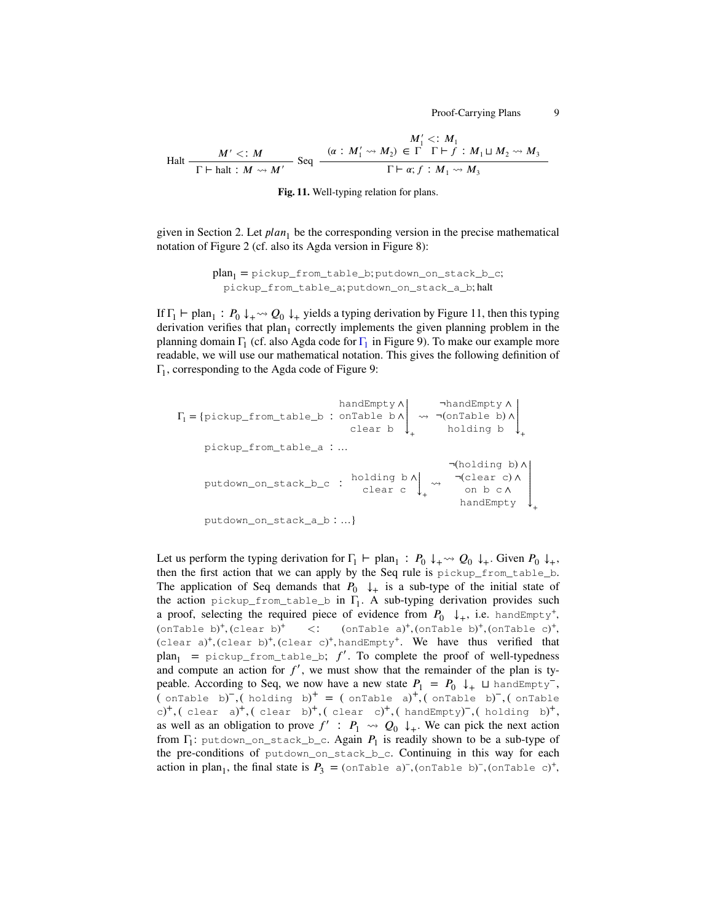Proof-Carrying Plans 9

$$
\text{Half} \xrightarrow{\text{M}^{\prime} < : \text{ M}} \text{Set} \xrightarrow{\text{M}^{\prime} \text{M}^{\prime} \rightarrow M_2} \text{Seq} \xrightarrow{\text{(a : M_1^{\prime} \rightarrow M_2) \in \Gamma} \Gamma \vdash f : \text{M}_1 \sqcup \text{M}_2 \rightarrow M_3}
$$
\n
$$
\text{Flat} \xrightarrow{\text{H}} \text{Int} \text{S} \xrightarrow{\text{(b) } \text{M}^{\prime} \rightarrow M_1} \text{Seq} \xrightarrow{\text{(b) } \text{M}^{\prime} \rightarrow M_2} \text{Eq} \xrightarrow{\text{(c) } \text{M}^{\prime} \rightarrow M_3} \text{Eq} \xrightarrow{\text{(d) } \text{M}^{\prime} \rightarrow M_4} \text{Eq} \xrightarrow{\text{(e) } \text{M}^{\prime} \rightarrow M_4} \text{Eq} \xrightarrow{\text{(e) } \text{M}^{\prime} \rightarrow M_4} \text{Eq} \xrightarrow{\text{(f) } \text{M}^{\prime} \rightarrow M_4} \text{Eq} \xrightarrow{\text{(e) } \text{M}^{\prime} \rightarrow M_4} \text{Eq} \xrightarrow{\text{(f) } \text{M}^{\prime} \rightarrow M_4} \text{Eq} \xrightarrow{\text{(g) } \text{M}^{\prime} \rightarrow M_4} \text{Eq} \xrightarrow{\text{(h) } \text{M}^{\prime} \rightarrow M_4} \text{Eq} \xrightarrow{\text{(e) } \text{M}^{\prime} \rightarrow M_4} \text{Eq} \xrightarrow{\text{(e) } \text{M}^{\prime} \rightarrow M_4} \text{Eq} \xrightarrow{\text{(e) } \text{M}^{\prime} \rightarrow M_4} \text{Eq} \xrightarrow{\text{(f) } \text{M}^{\prime} \rightarrow M_4} \text{Eq} \xrightarrow{\text{(g) } \text{M}^{\prime} \rightarrow M_4} \text{Eq} \xrightarrow{\text{(h) } \text{M}^{\prime} \rightarrow M_4} \text{Eq} \xrightarrow{\text{(e) } \text{M}^{\prime} \rightarrow M_4} \text{Eq} \xrightarrow{\text{(f) } \text{M}^{\prime} \rightarrow M_4} \text{Eq} \xrightarrow{\text{(g) } \text{M}^{\prime} \rightarrow M_4} \text{Eq} \xrightarrow{\text{(h) } \text{M}^{\prime} \rightarrow M_4} \text{Eq} \xrightarrow
$$

**Fig. 11.** Well-typing relation for plans.

given in Section 2. Let  $plan_1$  be the corresponding version in the precise mathematical notation of Figure 2 (cf. also its Agda version in Figure 8):

plan<sup>1</sup> = pickup\_from\_table\_b; putdown\_on\_stack\_b\_c; pickup\_from\_table\_a; putdown\_on\_stack\_a\_b; halt

If  $\Gamma_1$   $\vdash$  plan<sub>1</sub> :  $P_0 \downarrow_{+} \leadsto Q_0 \downarrow_{+}$  yields a typing derivation by Figure 11, then this typing derivation verifies that plan<sub>1</sub> correctly implements the given planning problem in the planning domain  $\Gamma_1$  (cf. also Agda code for  $\Gamma_1$  in Figure 9). To make our example more readable, we will use our mathematical notation. This gives the following definition of  $\Gamma_1$ , corresponding to the Agda code of Figure 9:

$$
\Gamma_{l} = \{\text{pickup\_from\_table\_b : onTable b} \land \bigg\} \land \bigg\{\n\begin{array}{c}\n\text{handEmpty } \land \\
\text{clear b} \land \bigg\} \land \text{nonTable b} \land \bigg\} \\
\text{pickup\_from\_table\_a : ...} \\
\text{pickup\_from\_table\_a : ...} \\
\text{putdown\_on\_stack\_b\_c : } \n\begin{array}{c}\n\text{holding b} \land \bigg\} \\
\text{clouding b} \land \bigg\} \\
\text{clear c} \land \bigg\} \\
\text{outdown\_on\_stack\_a\_b : ...} \\
\text{putdown\_on\_stack\_a\_b : ...}\n\end{array}
$$

Let us perform the typing derivation for  $\Gamma_1 \vdash \text{plan}_1 : P_0 \downarrow_+ \leadsto Q_0 \downarrow_+$ . Given  $P_0 \downarrow_+$ , then the first action that we can apply by the Seq rule is pickup\_from\_table\_b. The application of Seq demands that  $P_0 \downarrow_+$  is a sub-type of the initial state of the action pickup\_from\_table\_b in  $\Gamma_1$ . A sub-typing derivation provides such a proof, selecting the required piece of evidence from  $P_0 \downarrow_+$ , i.e. handEmpty<sup>+</sup>, (onTable b) + , (clear b) +  $\langle$ : (onTable a)<sup>+</sup>,(onTable b)<sup>+</sup>,(onTable c)<sup>+</sup>, (clear a)<sup>+</sup>,(clear b)<sup>+</sup>,(clear c)<sup>+</sup>,handEmpty<sup>+</sup>. We have thus verified that  $plan_1 = pickup\_from\_table\_b; f'.$  To complete the proof of well-typedness and compute an action for  $f'$ , we must show that the remainder of the plan is typeable. According to Seq, we now have a new state  $P_1 = P_0 \downarrow_+ \sqcup \text{handEmpty}^-,$  $(\text{onTable } b)^-, (\text{ holding } b)^+ = (\text{onTable } a)^+, (\text{onTable } b)^-, (\text{onTable } b)^-.$ c)<sup>+</sup>,(clear a)<sup>+</sup>,(clear b)<sup>+</sup>,(clear c)<sup>+</sup>,(handEmpty)<sup>-</sup>,(holding b)<sup>+</sup>, as well as an obligation to prove  $f' : P_1 \rightarrow Q_0 \downarrow_+$ . We can pick the next action from  $\Gamma_1$ : putdown\_on\_stack\_b\_c. Again  $P_1$  is readily shown to be a sub-type of the pre-conditions of putdown\_on\_stack\_b\_c. Continuing in this way for each action in plan<sub>1</sub>, the final state is  $P_3 = ( \text{onTable a})^-, (\text{onTable b})^-, (\text{onTable c})^+,$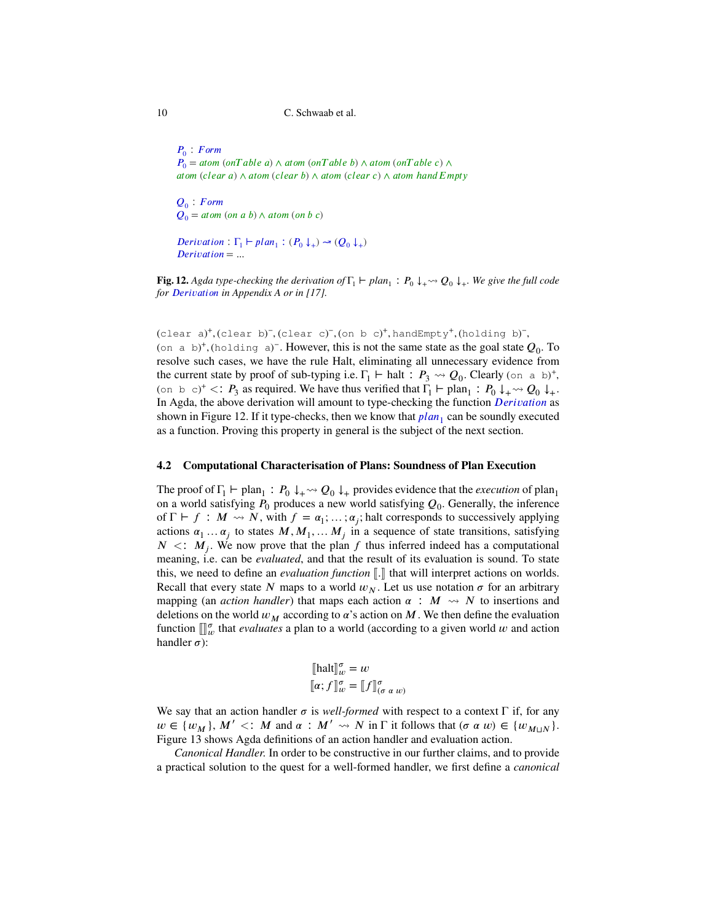$P_0$ : Form  $P_0 = atom (on Table a) \wedge atom (on Table b) \wedge atom (on Table c) \wedge$ atom (clear a)  $\wedge$  atom (clear b)  $\wedge$  atom (clear c)  $\wedge$  atom hand Empty

 $Q_0$ : Form  $Q_0 = atom (on a b) \wedge atom (on b c)$ 

Derivation :  $\Gamma_1 \vdash plan_1$  :  $(P_0 \downarrow_+) \leadsto (Q_0 \downarrow_+)$  $Derivation = ...$ 

**Fig. 12.** Agda type-checking the derivation of  $\Gamma_1 \vdash$  plan<sub>1</sub> :  $P_0 \downarrow_+ \leadsto Q_0 \downarrow_+$ . We give the full code *for Derivation in Appendix A or in [17].* 

 $(\text{clear } a)^+, (\text{clear } b)^-, (\text{clear } c)^-, (\text{on } b \ c)^+, \text{handEmpty}^+, (\text{holding } b)^-,$ (on a b)<sup>+</sup>, (holding a)<sup>-</sup>. However, this is not the same state as the goal state  $Q_0$ . To resolve such cases, we have the rule Halt, eliminating all unnecessary evidence from the current state by proof of sub-typing i.e.  $\Gamma_1 \vdash \text{halt} : P_3 \leadsto Q_0$ . Clearly (on a b)<sup>+</sup>, (on b c)<sup>+</sup>  $\lt: P_3$  as required. We have thus verified that  $\Gamma_1 \vdash \text{plan}_1 : P_0 \downarrow_+ \leadsto Q_0 \downarrow_+$ . In Agda, the above derivation will amount to type-checking the function *Derivation* as shown in Figure 12. If it type-checks, then we know that  $plan_1$  can be soundly executed as a function. Proving this property in general is the subject of the next section.

#### **4.2 Computational Characterisation of Plans: Soundness of Plan Execution**

The proof of  $\Gamma_1 \vdash \text{plan}_1 : P_0 \downarrow_+ \leadsto Q_0 \downarrow_+$  provides evidence that the *execution* of plan<sub>1</sub> on a world satisfying  $P_0$  produces a new world satisfying  $Q_0$ . Generally, the inference of  $\Gamma \vdash f : M \leadsto N$ , with  $f = \alpha_1; \dots; \alpha_j$ ; halt corresponds to successively applying actions  $\alpha_1 \dots \alpha_j$  to states  $M, M_1, \dots M_j$  in a sequence of state transitions, satisfying  $N \lt: M_j$ . We now prove that the plan f thus inferred indeed has a computational meaning, i.e. can be *evaluated*, and that the result of its evaluation is sound. To state this, we need to define an *evaluation function*  $\llbracket . \rrbracket$  that will interpret actions on worlds. Recall that every state N maps to a world  $w_N$ . Let us use notation  $\sigma$  for an arbitrary mapping (an *action handler*) that maps each action  $\alpha : M \rightarrow N$  to insertions and deletions on the world  $w_M$  according to  $\alpha$ 's action on M. We then define the evaluation function  $\iint_{\alpha}^{\sigma}$  that *evaluates* a plan to a world (according to a given world  $\omega$  and action handler  $\sigma$ :

$$
\begin{aligned}\n\llbracket \text{halt} \rrbracket_w^{\sigma} &= w \\
\llbracket \alpha; f \rrbracket_w^{\sigma} &= \llbracket f \rrbracket_{(\sigma \alpha w)}^{\sigma}\n\end{aligned}
$$

We say that an action handler  $\sigma$  is *well-formed* with respect to a context  $\Gamma$  if, for any  $w \in \{w_M\}, M' \leq: M$  and  $\alpha: M' \leadsto N$  in  $\Gamma$  it follows that  $(\sigma \alpha w) \in \{w_{M\cup N}\}.$ Figure 13 shows Agda definitions of an action handler and evaluation action.

*Canonical Handler.* In order to be constructive in our further claims, and to provide a practical solution to the quest for a well-formed handler, we first define a *canonical*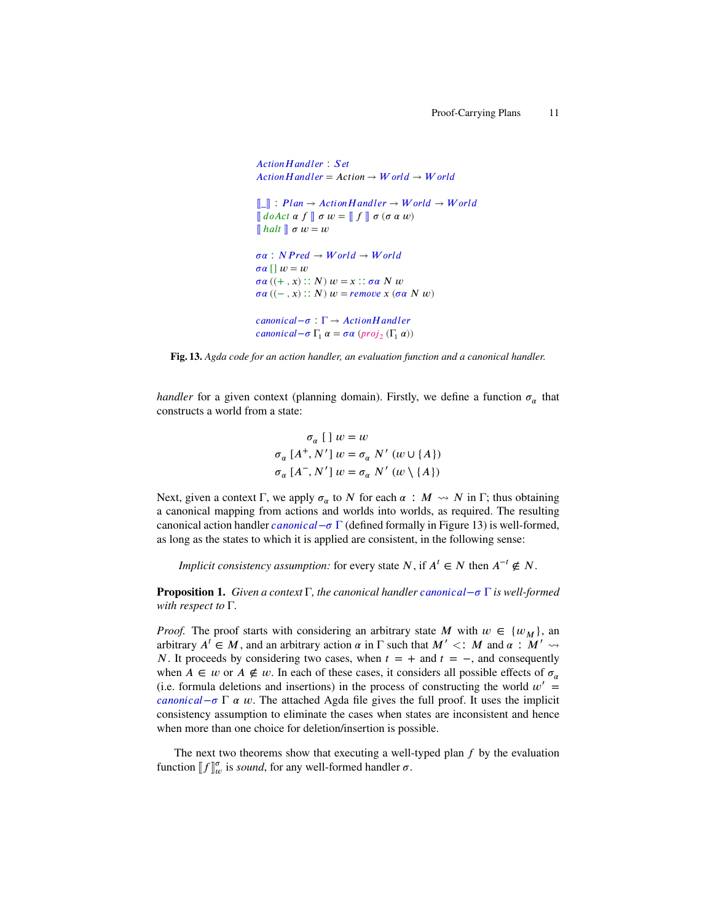```
ActionHandler: Set
ActionHandler = Action \rightarrow World \rightarrow World\llbracket \_ \rrbracket : Plan \rightarrow Action Handler \rightarrow World \rightarrow World
\llbracket do Act \alpha f \rrbracket \sigma w = \llbracket f \rrbracket \sigma (\sigma \alpha w)\llbracket halt \rrbracket \sigma w = w\sigma\alpha: N Pred \rightarrow W orld \rightarrow W orld
\sigma\alpha \Box w = w\sigma\alpha ((+, x) :: N) w = x :: \sigma\alpha N w\sigma\alpha ((-, x) :: N) w = remove x (\sigma\alpha N w)canonical - \sigma : \Gamma \rightarrow ActionH\, and \,lercanonical-\sigma \Gamma_1 \alpha = \sigma \alpha (proj<sub>2</sub> (\Gamma_1 \alpha))
```
**Fig. 13.** *Agda code for an action handler, an evaluation function and a canonical handler.*

*handler* for a given context (planning domain). Firstly, we define a function  $\sigma_{\alpha}$  that constructs a world from a state:

$$
\sigma_{\alpha} [ ] w = w
$$
  
\n
$$
\sigma_{\alpha} [A^+, N'] w = \sigma_{\alpha} N' (w \cup \{A\})
$$
  
\n
$$
\sigma_{\alpha} [A^-, N'] w = \sigma_{\alpha} N' (w \setminus \{A\})
$$

Next, given a context  $\Gamma$ , we apply  $\sigma_{\alpha}$  to N for each  $\alpha : M \leadsto N$  in  $\Gamma$ ; thus obtaining a canonical mapping from actions and worlds into worlds, as required. The resulting canonical action handler *canonical* –  $\sigma \Gamma$  (defined formally in Figure 13) is well-formed, as long as the states to which it is applied are consistent, in the following sense:

*Implicit consistency assumption:* for every state N, if  $A^t \in N$  then  $A^{-t} \notin N$ .

**Proposition 1.** *Given a context*  $\Gamma$ *, the canonical handler canonical*  $-\sigma \Gamma$  *is well-formed with respect to* Γ*.*

*Proof.* The proof starts with considering an arbitrary state M with  $w \in \{w_M\}$ , an arbitrary  $A^t \in M$ , and an arbitrary action  $\alpha$  in  $\Gamma$  such that  $M' < : M$  and  $\alpha : M' \rightsquigarrow$ N. It proceeds by considering two cases, when  $t = +$  and  $t = -$ , and consequently when  $A \in w$  or  $A \notin w$ . In each of these cases, it considers all possible effects of  $\sigma_{\alpha}$ (i.e. formula deletions and insertions) in the process of constructing the world  $w' =$ canonical $-\sigma \Gamma \alpha$  w. The attached Agda file gives the full proof. It uses the implicit consistency assumption to eliminate the cases when states are inconsistent and hence when more than one choice for deletion/insertion is possible.

The next two theorems show that executing a well-typed plan  $f$  by the evaluation function  $\llbracket f \rrbracket_w^{\sigma}$  is *sound*, for any well-formed handler  $\sigma$ .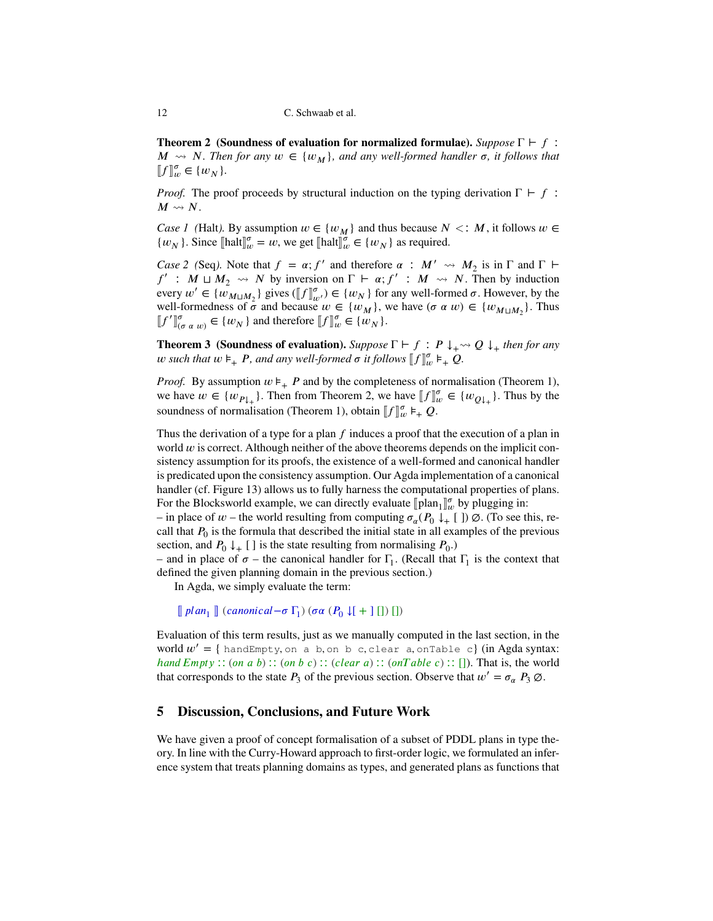**Theorem 2 (Soundness of evaluation for normalized formulae).** *Suppose*  $\Gamma \vdash f$  :  $M$  →  $N$ . Then for any  $w \in \{w_M\}$ , and any well-formed handler  $\sigma$ , it follows that  $\llbracket f \rrbracket_w^{\sigma} \in \{w_N\}.$ 

*Proof.* The proof proceeds by structural induction on the typing derivation  $\Gamma \vdash f$ :  $M \rightsquigarrow N$ .

*Case 1* (Halt). By assumption  $w \in \{w_M\}$  and thus because  $N \le M$ , it follows  $w \in$  $\{w_N\}$ . Since  $[\text{halt}]_w^{\sigma} = w$ , we get  $[\text{halt}]_w^{\sigma} \in \{w_N\}$  as required.

*Case 2* (Seq). Note that  $f = \alpha$ ;  $f'$  and therefore  $\alpha : M' \rightsquigarrow M_2$  is in  $\Gamma$  and  $\Gamma \vdash$  $f'$ :  $M \sqcup M_2 \leadsto N$  by inversion on  $\Gamma \vdash \alpha; f'$ :  $M \leadsto N$ . Then by induction every  $w' \in \{w_{M \sqcup M_2}\}\$  gives  $(\llbracket f \rrbracket_{w'}^{\sigma}) \in \{w_N\}$  for any well-formed  $\sigma$ . However, by the well-formedness of  $\sigma$  and because  $w \in \{w_M\}$ , we have  $(\sigma \alpha w) \in \{w_{M \sqcup M_2}\}$ . Thus  $[f']_{(\sigma \alpha w)}^{\sigma} \in \{w_N\}$  and therefore  $[f]_{w}^{\sigma} \in \{w_N\}.$ 

**Theorem 3 (Soundness of evaluation).** *Suppose*  $\Gamma \vdash f : P \downarrow_{+} \rightsquigarrow Q \downarrow_{+}$  *then for any w* such that  $w \models_{+} P$ , and any well-formed  $\sigma$  it follows  $\llbracket f \rrbracket_w^{\sigma} \models_{+} Q$ .

*Proof.* By assumption  $w \vDash_{+} P$  and by the completeness of normalisation (Theorem 1), we have  $w \in \{w_{P_{\downarrow_{+}}}\}\.$  Then from Theorem 2, we have  $[f]_{w}^{\sigma} \in \{w_{Q_{\downarrow_{+}}}\}\.$  Thus by the soundness of normalisation (Theorem 1), obtain  $[f]_{w}^{\sigma} \models_{+} Q$ .

Thus the derivation of a type for a plan  $f$  induces a proof that the execution of a plan in world  $w$  is correct. Although neither of the above theorems depends on the implicit consistency assumption for its proofs, the existence of a well-formed and canonical handler is predicated upon the consistency assumption. Our Agda implementation of a canonical handler (cf. Figure 13) allows us to fully harness the computational properties of plans. For the Blocksworld example, we can directly evaluate  $[\text{plan}_1]_w^{\sigma}$  by plugging in:

 $-\text{in place of } w - \text{the world resulting from computing } \sigma_\alpha(P_0 \downarrow_+ [ ] ) \varnothing.$  (To see this, recall that  $P_0$  is the formula that described the initial state in all examples of the previous section, and  $P_0 \downarrow_+ [ ]$  is the state resulting from normalising  $P_0$ .)

– and in place of  $\sigma$  – the canonical handler for  $\Gamma_1$ . (Recall that  $\Gamma_1$  is the context that defined the given planning domain in the previous section.)

In Agda, we simply evaluate the term:

```
\llbracket plan<sub>1</sub> \rrbracket (canonical – \sigma \Gamma_1) (\sigma \alpha (P_0 \downarrow [ + ] []) [])
```
Evaluation of this term results, just as we manually computed in the last section, in the world  $w' = \{$  handEmpty, on a b, on b c, clear a, onTable c} (in Agda syntax: hand  $Empty::($ on a b $):$  (on b c) :: (clear a) :: (onTable c) :: []). That is, the world that corresponds to the state  $P_3$  of the previous section. Observe that  $w' = \sigma_\alpha P_3 \varnothing$ .

## **5 Discussion, Conclusions, and Future Work**

We have given a proof of concept formalisation of a subset of PDDL plans in type theory. In line with the Curry-Howard approach to first-order logic, we formulated an inference system that treats planning domains as types, and generated plans as functions that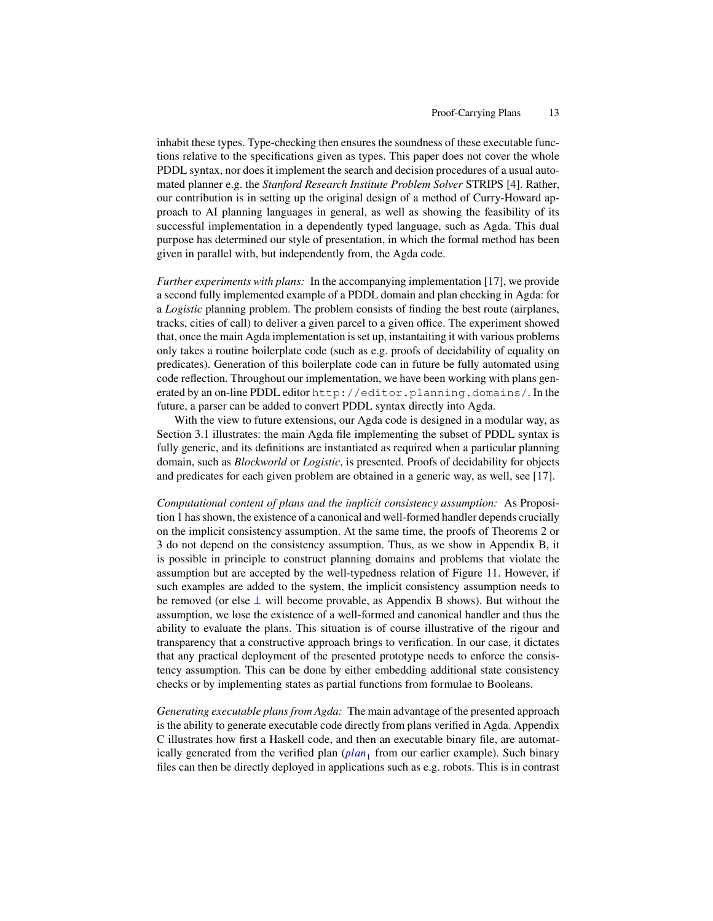inhabit these types. Type-checking then ensures the soundness of these executable functions relative to the specifications given as types. This paper does not cover the whole PDDL syntax, nor does it implement the search and decision procedures of a usual automated planner e.g. the *Stanford Research Institute Problem Solver* STRIPS [4]. Rather, our contribution is in setting up the original design of a method of Curry-Howard approach to AI planning languages in general, as well as showing the feasibility of its successful implementation in a dependently typed language, such as Agda. This dual purpose has determined our style of presentation, in which the formal method has been given in parallel with, but independently from, the Agda code.

*Further experiments with plans:* In the accompanying implementation [17], we provide a second fully implemented example of a PDDL domain and plan checking in Agda: for a *Logistic* planning problem. The problem consists of finding the best route (airplanes, tracks, cities of call) to deliver a given parcel to a given office. The experiment showed that, once the main Agda implementation is set up, instantaiting it with various problems only takes a routine boilerplate code (such as e.g. proofs of decidability of equality on predicates). Generation of this boilerplate code can in future be fully automated using code reflection. Throughout our implementation, we have been working with plans generated by an on-line PDDL editor http://editor.planning.domains/. In the future, a parser can be added to convert PDDL syntax directly into Agda.

With the view to future extensions, our Agda code is designed in a modular way, as Section 3.1 illustrates: the main Agda file implementing the subset of PDDL syntax is fully generic, and its definitions are instantiated as required when a particular planning domain, such as *Blockworld* or *Logistic*, is presented. Proofs of decidability for objects and predicates for each given problem are obtained in a generic way, as well, see [17].

*Computational content of plans and the implicit consistency assumption:* As Proposition 1 has shown, the existence of a canonical and well-formed handler depends crucially on the implicit consistency assumption. At the same time, the proofs of Theorems 2 or 3 do not depend on the consistency assumption. Thus, as we show in Appendix B, it is possible in principle to construct planning domains and problems that violate the assumption but are accepted by the well-typedness relation of Figure 11. However, if such examples are added to the system, the implicit consistency assumption needs to be removed (or else ⊥ will become provable, as Appendix B shows). But without the assumption, we lose the existence of a well-formed and canonical handler and thus the ability to evaluate the plans. This situation is of course illustrative of the rigour and transparency that a constructive approach brings to verification. In our case, it dictates that any practical deployment of the presented prototype needs to enforce the consistency assumption. This can be done by either embedding additional state consistency checks or by implementing states as partial functions from formulae to Booleans.

*Generating executable plans from Agda:* The main advantage of the presented approach is the ability to generate executable code directly from plans verified in Agda. Appendix C illustrates how first a Haskell code, and then an executable binary file, are automatically generated from the verified plan  $(plan_1$  from our earlier example). Such binary files can then be directly deployed in applications such as e.g. robots. This is in contrast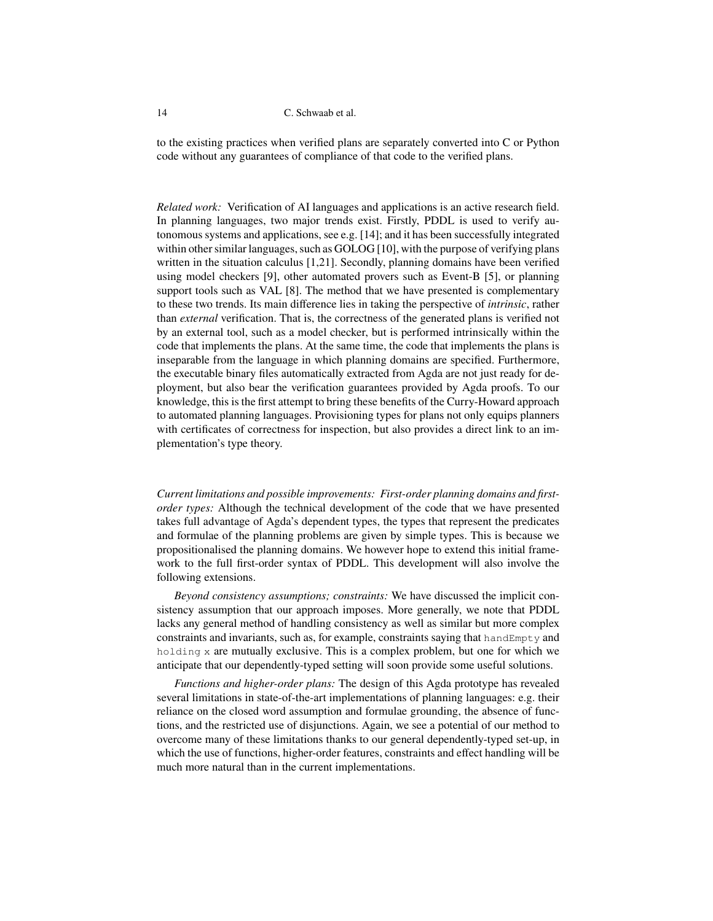to the existing practices when verified plans are separately converted into C or Python code without any guarantees of compliance of that code to the verified plans.

*Related work:* Verification of AI languages and applications is an active research field. In planning languages, two major trends exist. Firstly, PDDL is used to verify autonomous systems and applications, see e.g. [14]; and it has been successfully integrated within other similar languages, such as GOLOG [10], with the purpose of verifying plans written in the situation calculus [1,21]. Secondly, planning domains have been verified using model checkers [9], other automated provers such as Event-B [5], or planning support tools such as VAL [8]. The method that we have presented is complementary to these two trends. Its main difference lies in taking the perspective of *intrinsic*, rather than *external* verification. That is, the correctness of the generated plans is verified not by an external tool, such as a model checker, but is performed intrinsically within the code that implements the plans. At the same time, the code that implements the plans is inseparable from the language in which planning domains are specified. Furthermore, the executable binary files automatically extracted from Agda are not just ready for deployment, but also bear the verification guarantees provided by Agda proofs. To our knowledge, this is the first attempt to bring these benefits of the Curry-Howard approach to automated planning languages. Provisioning types for plans not only equips planners with certificates of correctness for inspection, but also provides a direct link to an implementation's type theory.

*Current limitations and possible improvements: First-order planning domains and firstorder types:* Although the technical development of the code that we have presented takes full advantage of Agda's dependent types, the types that represent the predicates and formulae of the planning problems are given by simple types. This is because we propositionalised the planning domains. We however hope to extend this initial framework to the full first-order syntax of PDDL. This development will also involve the following extensions.

*Beyond consistency assumptions; constraints:* We have discussed the implicit consistency assumption that our approach imposes. More generally, we note that PDDL lacks any general method of handling consistency as well as similar but more complex constraints and invariants, such as, for example, constraints saying that handEmpty and holding x are mutually exclusive. This is a complex problem, but one for which we anticipate that our dependently-typed setting will soon provide some useful solutions.

*Functions and higher-order plans:* The design of this Agda prototype has revealed several limitations in state-of-the-art implementations of planning languages: e.g. their reliance on the closed word assumption and formulae grounding, the absence of functions, and the restricted use of disjunctions. Again, we see a potential of our method to overcome many of these limitations thanks to our general dependently-typed set-up, in which the use of functions, higher-order features, constraints and effect handling will be much more natural than in the current implementations.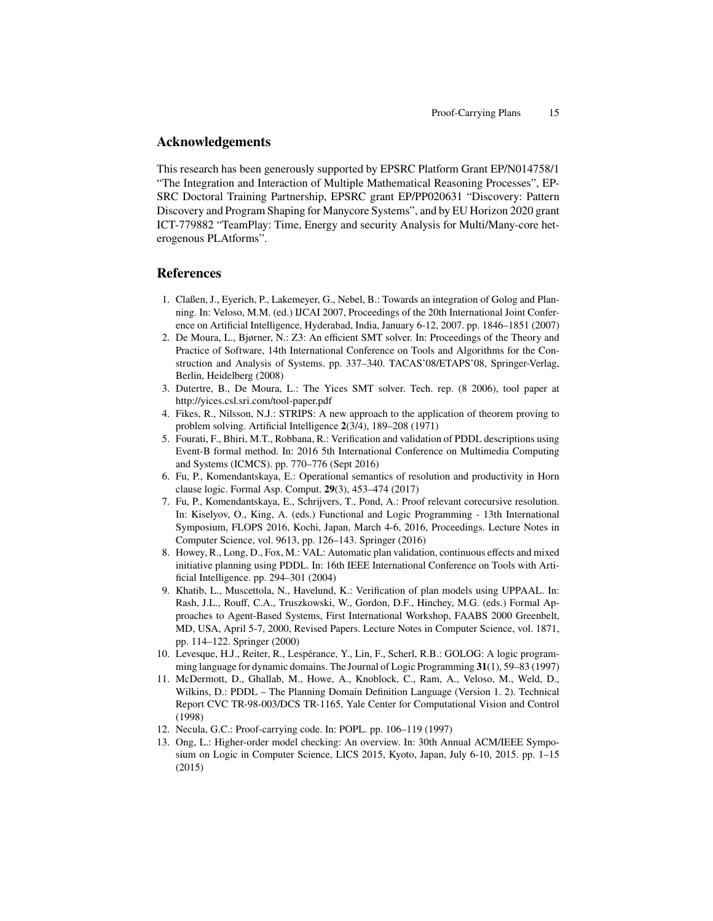## **Acknowledgements**

This research has been generously supported by EPSRC Platform Grant EP/N014758/1 "The Integration and Interaction of Multiple Mathematical Reasoning Processes", EP-SRC Doctoral Training Partnership, EPSRC grant EP/PP020631 "Discovery: Pattern Discovery and Program Shaping for Manycore Systems", and by EU Horizon 2020 grant ICT-779882 "TeamPlay: Time, Energy and security Analysis for Multi/Many-core heterogenous PLAtforms".

## **References**

- 1. Claßen, J., Eyerich, P., Lakemeyer, G., Nebel, B.: Towards an integration of Golog and Planning. In: Veloso, M.M. (ed.) IJCAI 2007, Proceedings of the 20th International Joint Conference on Artificial Intelligence, Hyderabad, India, January 6-12, 2007. pp. 1846–1851 (2007)
- 2. De Moura, L., Bjørner, N.: Z3: An efficient SMT solver. In: Proceedings of the Theory and Practice of Software, 14th International Conference on Tools and Algorithms for the Construction and Analysis of Systems. pp. 337–340. TACAS'08/ETAPS'08, Springer-Verlag, Berlin, Heidelberg (2008)
- 3. Dutertre, B., De Moura, L.: The Yices SMT solver. Tech. rep. (8 2006), tool paper at http://yices.csl.sri.com/tool-paper.pdf
- 4. Fikes, R., Nilsson, N.J.: STRIPS: A new approach to the application of theorem proving to problem solving. Artificial Intelligence **2**(3/4), 189–208 (1971)
- 5. Fourati, F., Bhiri, M.T., Robbana, R.: Verification and validation of PDDL descriptions using Event-B formal method. In: 2016 5th International Conference on Multimedia Computing and Systems (ICMCS). pp. 770–776 (Sept 2016)
- 6. Fu, P., Komendantskaya, E.: Operational semantics of resolution and productivity in Horn clause logic. Formal Asp. Comput. **29**(3), 453–474 (2017)
- 7. Fu, P., Komendantskaya, E., Schrijvers, T., Pond, A.: Proof relevant corecursive resolution. In: Kiselyov, O., King, A. (eds.) Functional and Logic Programming - 13th International Symposium, FLOPS 2016, Kochi, Japan, March 4-6, 2016, Proceedings. Lecture Notes in Computer Science, vol. 9613, pp. 126–143. Springer (2016)
- 8. Howey, R., Long, D., Fox, M.: VAL: Automatic plan validation, continuous effects and mixed initiative planning using PDDL. In: 16th IEEE International Conference on Tools with Artificial Intelligence. pp. 294–301 (2004)
- 9. Khatib, L., Muscettola, N., Havelund, K.: Verification of plan models using UPPAAL. In: Rash, J.L., Rouff, C.A., Truszkowski, W., Gordon, D.F., Hinchey, M.G. (eds.) Formal Approaches to Agent-Based Systems, First International Workshop, FAABS 2000 Greenbelt, MD, USA, April 5-7, 2000, Revised Papers. Lecture Notes in Computer Science, vol. 1871, pp. 114–122. Springer (2000)
- 10. Levesque, H.J., Reiter, R., Lespérance, Y., Lin, F., Scherl, R.B.: GOLOG: A logic programming language for dynamic domains. The Journal of Logic Programming **31**(1), 59–83 (1997)
- 11. McDermott, D., Ghallab, M., Howe, A., Knoblock, C., Ram, A., Veloso, M., Weld, D., Wilkins, D.: PDDL – The Planning Domain Definition Language (Version 1. 2). Technical Report CVC TR-98-003/DCS TR-1165, Yale Center for Computational Vision and Control (1998)
- 12. Necula, G.C.: Proof-carrying code. In: POPL. pp. 106–119 (1997)
- 13. Ong, L.: Higher-order model checking: An overview. In: 30th Annual ACM/IEEE Symposium on Logic in Computer Science, LICS 2015, Kyoto, Japan, July 6-10, 2015. pp. 1–15 (2015)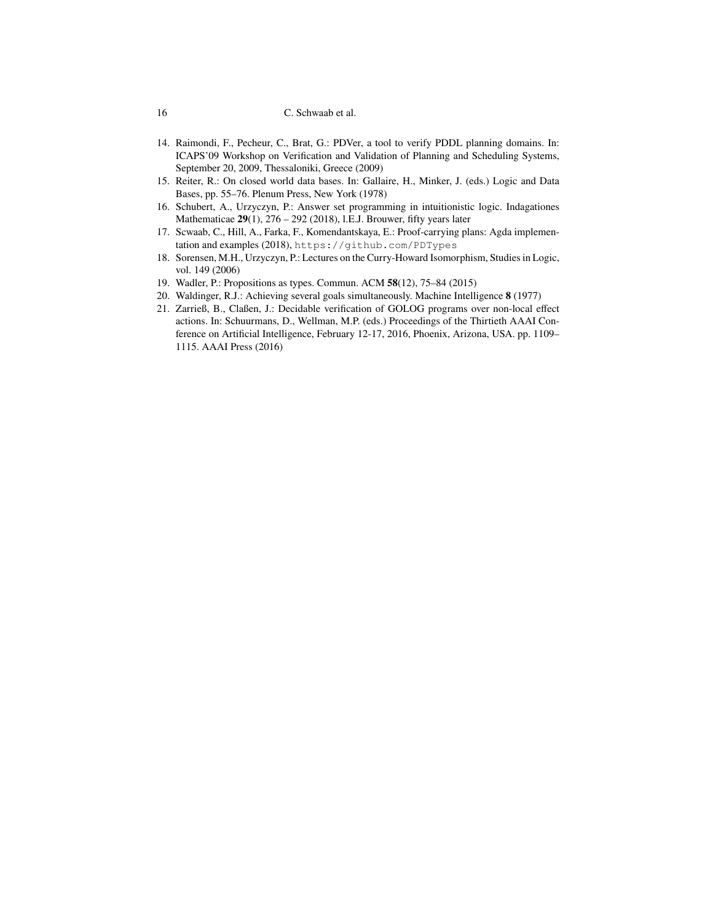- 14. Raimondi, F., Pecheur, C., Brat, G.: PDVer, a tool to verify PDDL planning domains. In: ICAPS'09 Workshop on Verification and Validation of Planning and Scheduling Systems, September 20, 2009, Thessaloniki, Greece (2009)
- 15. Reiter, R.: On closed world data bases. In: Gallaire, H., Minker, J. (eds.) Logic and Data Bases, pp. 55–76. Plenum Press, New York (1978)
- 16. Schubert, A., Urzyczyn, P.: Answer set programming in intuitionistic logic. Indagationes Mathematicae **29**(1), 276 – 292 (2018), l.E.J. Brouwer, fifty years later
- 17. Scwaab, C., Hill, A., Farka, F., Komendantskaya, E.: Proof-carrying plans: Agda implementation and examples (2018), https://github.com/PDTypes
- 18. Sorensen, M.H., Urzyczyn, P.: Lectures on the Curry-Howard Isomorphism, Studies in Logic, vol. 149 (2006)
- 19. Wadler, P.: Propositions as types. Commun. ACM **58**(12), 75–84 (2015)
- 20. Waldinger, R.J.: Achieving several goals simultaneously. Machine Intelligence **8** (1977)
- 21. Zarrieß, B., Claßen, J.: Decidable verification of GOLOG programs over non-local effect actions. In: Schuurmans, D., Wellman, M.P. (eds.) Proceedings of the Thirtieth AAAI Conference on Artificial Intelligence, February 12-17, 2016, Phoenix, Arizona, USA. pp. 1109– 1115. AAAI Press (2016)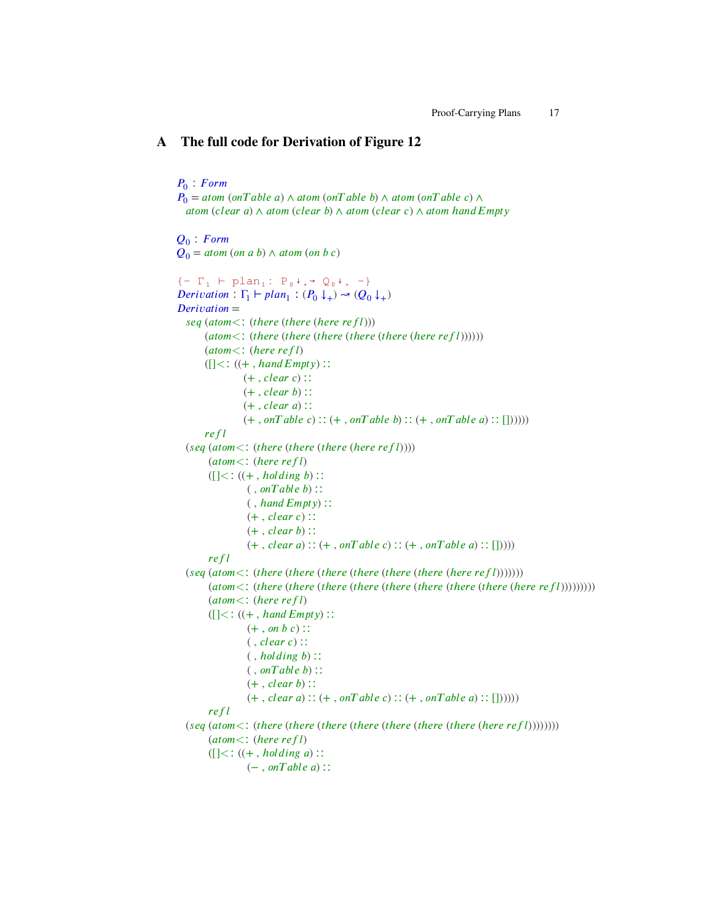## A The full code for Derivation of Figure 12

 $P_0: Form$  $P_0 = atom (onTable a) \wedge atom (onTable b) \wedge atom (onTable c) \wedge$ atom (clear a)  $\wedge$  atom (clear b)  $\wedge$  atom (clear c)  $\wedge$  atom hand Empty  $Q_0$ : Form  $Q_0 = atom (on a b) \wedge atom (on b c)$  $\{-\Gamma_1 \vdash \text{plan}_1 : \text{P}_0\downarrow_{+} \sim \text{Q}_0\downarrow_{+} -\}$ Derivation :  $\Gamma_1 \vdash plan_1$  :  $(P_0 \downarrow_+) \rightarrow (Q_0 \downarrow_+)$  $Derivation =$ seq (atom  $\lt:$ : (there (there (here refl)))  $(atom <: (there (there (there (there (there (there (here ref l)))))))$  $(atom<: (here refl)$  $([]<: ((+, hand \, Empty) ::$  $(+, clear c)$ :  $(+, clear b)$ :  $(+, clear a)$ :  $(+, onTable c) :: (+, onTable b) :: (+, onTable a) :: ()$  $refl$ (seq (atom  $\lt:$  (there (there (there (here refl))))  $(atom <: (here refl)$  $([]<: ((+, holding b))$ :  $( , onTable b) ::$  $($ , hand  $Empty)$ ::  $(+, clear c)$ :  $(+, clear b)$ :  $(+, clear a) :: (+, on Table c) :: (+, on Table a) :: [])))$  $refl$  $(seq (atom <: (there (there (there (there (there (there (there (here ref l)))))))$  $(atom <: (there (there (there (there (there (there (there (there (there (there (here ref l)))))))))))$  $(atom<: (here refl)$  $[[]<: ((+, hand \,Empty)$  ::  $(+, on b c)$ ::  $($ , clear c)::  $($ , holding b)::  $( , onTable b) ::$  $(+, clear b)$ ::  $(+, clear a) :: (+, on Table c) :: (+, on Table a) :: []))))$  $refl$  $\left( \text{seq} \left( \text{atom} \right) : \left( \text{there} \left( \text{there} \left( \text{there} \left( \text{there} \left( \text{there} \left( \text{there} \left( \text{there} \left( \text{there} \left( \text{there} \left( \text{there} \left( \text{there} \left( \text{there} \left( \text{there} \left( \text{there} \left( \text{there} \left( \text{there} \left( \text{there} \left( \text{there} \left( \text{there} \left( \text{there} \left( \text{there} \left( \text{there} \left( \text{there} \left( \text{there} \left( \text{there}$  $(atom <: (here refl)$  $[$   $[$   $]$  < :  $($   $($   $+$   $,$   $holding a)$   $\cdots$  $(-$ , onTable a)::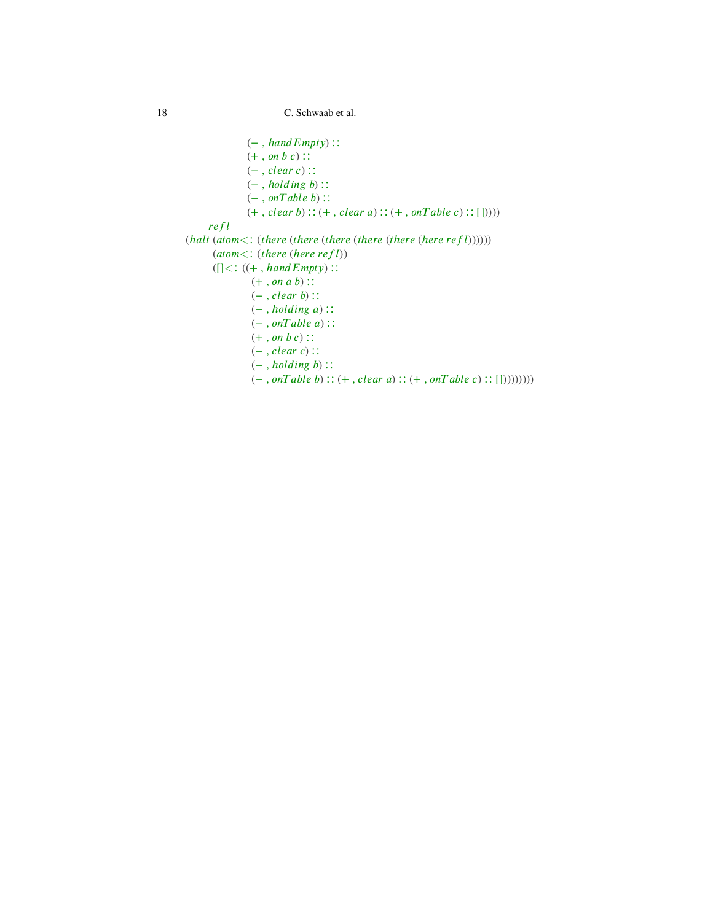$(-$ , hand  $Empty)$ ::  $(+$  , on  $b$  c) ::  $(-, clear c)$ :  $(-$  ,  $holding\ b)$  ::  $(-, onTable b)$ ::  $(+, clear b) :: (+, clear a) :: (+, on Table c) :: [])))$  $refl$ (halt (atom  $\le$ : (there (there (there (there (there (here refl))))))  $(atom <: (there (here ref))$  $([]<: ((+, hand \,Empty) ::$  $(+, on a b)$ ::  $(-, clear b)$ :  $(-$ , holding a) ::  $(-, on Table a)$ ::  $(+, on b c)$ ::  $(-, clear c)$ :  $(-$ , holding b)::  $(-, onTable b) :: (+, clear a) :: (+, onTable c) :: [])))))$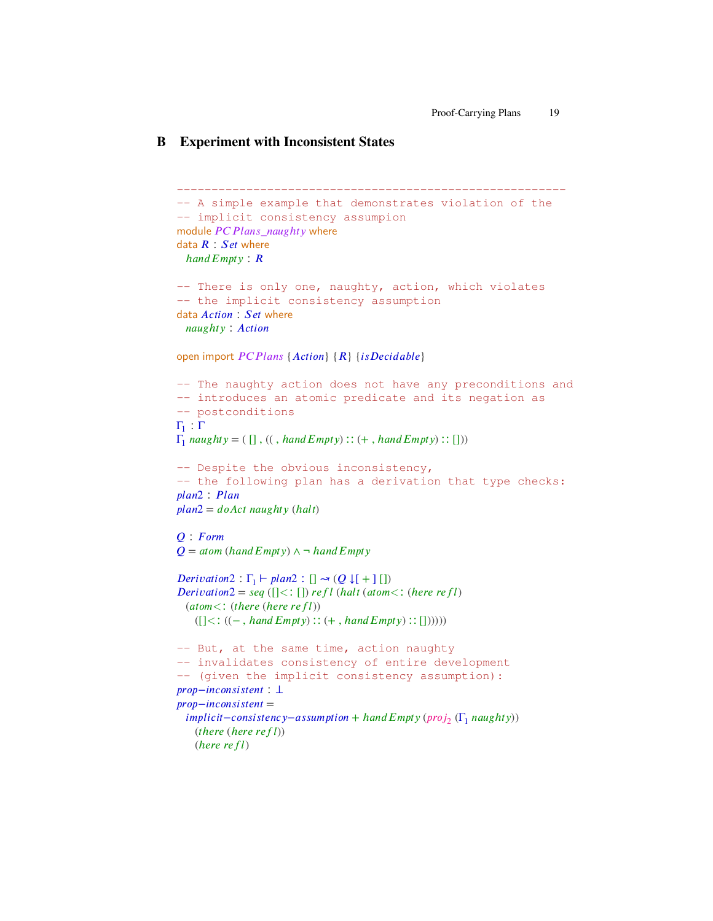# **B Experiment with Inconsistent States**

```
--------------------------------------------------------
-- A simple example that demonstrates violation of the
-- implicit consistency assumpion
module PCPlans\_naughty where
data R : Set where
 handEmpty: R-- There is only one, naughty, action, which violates
-- the implicit consistency assumption
data Action : Set where
 naughty: Action
open import PCPlans {Action} \{R\} {is Decidable}
-- The naughty action does not have any preconditions and
-- introduces an atomic predicate and its negation as
-- postconditions
\Gamma_1 : \Gamma\Gamma_1 naughty = ([], ((, hand Empty) :: (+, hand Empty) :: []))
-- Despite the obvious inconsistency,
-- the following plan has a derivation that type checks:
plan2 : Plan
plan2 = doAct naughty (halt)
Q: FormQ = atom (hand Empty) \wedge \neg handEmptyDerivation2 : \Gamma_1 \vdash plan2 : [] \rightarrow (Q \downarrow [ + ] [])Derivation2 = seq ([]<: []) refl (halt (atom><: (here refl))(atom <: (there (here ref))([ ] <: ((-, \text{hand}\,Empty) :: (+, \text{hand}\,Empty) :: []))))-- But, at the same time, action naughty
-- invalidates consistency of entire development
-- (given the implicit consistency assumption):
prop-inconsistent: \botprop-inconsistent =\mathit{implicit}-\mathit{consistency}-\mathit{assumption} + \mathit{hand}\,Empty\,(\mathit{proj}_2\,(\Gamma_1\; \mathit{naughty}))(the re~refl))(here \, refl)
```